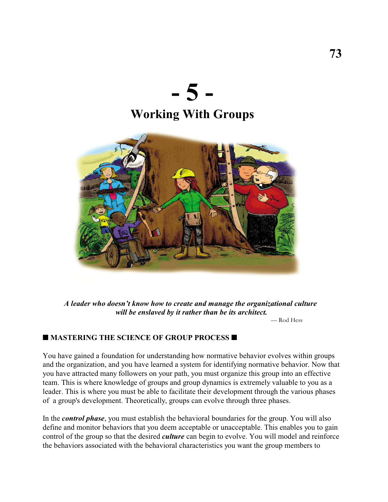



*A leader who doesn't know how to create and manage the organizational culture will be enslaved by it rather than be its architect.*

— Rod Hess

#### **MASTERING THE SCIENCE OF GROUP PROCESS**

You have gained a foundation for understanding how normative behavior evolves within groups and the organization, and you have learned a system for identifying normative behavior. Now that you have attracted many followers on your path, you must organize this group into an effective team. This is where knowledge of groups and group dynamics is extremely valuable to you as a leader. This is where you must be able to facilitate their development through the various phases of a group's development. Theoretically, groups can evolve through three phases.

In the *control phase*, you must establish the behavioral boundaries for the group. You will also define and monitor behaviors that you deem acceptable or unacceptable. This enables you to gain control of the group so that the desired *culture* can begin to evolve. You will model and reinforce the behaviors associated with the behavioral characteristics you want the group members to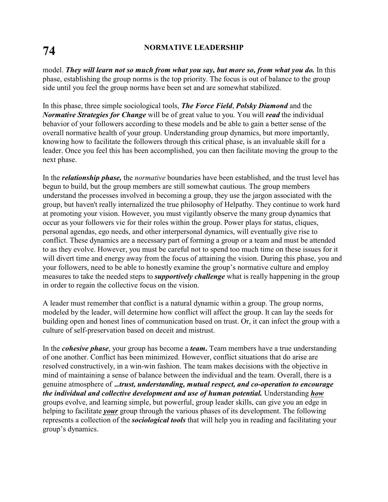# **74 NORMATIVE LEADERSHIP**

model. *They will learn not so much from what you say, but more so, from what you do.* In this phase, establishing the group norms is the top priority. The focus is out of balance to the group side until you feel the group norms have been set and are somewhat stabilized.

In this phase, three simple sociological tools, *The Force Field*, *Polsky Diamond* and the *Normative Strategies for Change* will be of great value to you. You will *read* the individual behavior of your followers according to these models and be able to gain a better sense of the overall normative health of your group. Understanding group dynamics, but more importantly, knowing how to facilitate the followers through this critical phase, is an invaluable skill for a leader. Once you feel this has been accomplished, you can then facilitate moving the group to the next phase.

In the *relationship phase,* the *normative* boundaries have been established, and the trust level has begun to build, but the group members are still somewhat cautious. The group members understand the processes involved in becoming a group, they use the jargon associated with the group, but haven't really internalized the true philosophy of Helpathy. They continue to work hard at promoting your vision. However, you must vigilantly observe the many group dynamics that occur as your followers vie for their roles within the group. Power plays for status, cliques, personal agendas, ego needs, and other interpersonal dynamics, will eventually give rise to conflict. These dynamics are a necessary part of forming a group or a team and must be attended to as they evolve. However, you must be careful not to spend too much time on these issues for it will divert time and energy away from the focus of attaining the vision. During this phase, you and your followers, need to be able to honestly examine the group's normative culture and employ measures to take the needed steps to *supportively challenge* what is really happening in the group in order to regain the collective focus on the vision.

A leader must remember that conflict is a natural dynamic within a group. The group norms, modeled by the leader, will determine how conflict will affect the group. It can lay the seeds for building open and honest lines of communication based on trust. Or, it can infect the group with a culture of self-preservation based on deceit and mistrust.

In the *cohesive phase*, your group has become a *team***.** Team members have a true understanding of one another. Conflict has been minimized. However, conflict situations that do arise are resolved constructively, in a win-win fashion. The team makes decisions with the objective in mind of maintaining a sense of balance between the individual and the team. Overall, there is a genuine atmosphere of .*..trust, understanding, mutual respect, and co-operation to encourage the individual and collective development and use of human potential.* Understanding *how* groups evolve, and learning simple, but powerful, group leader skills, can give you an edge in helping to facilitate *your* group through the various phases of its development. The following represents a collection of the *sociological tools* that will help you in reading and facilitating your group's dynamics.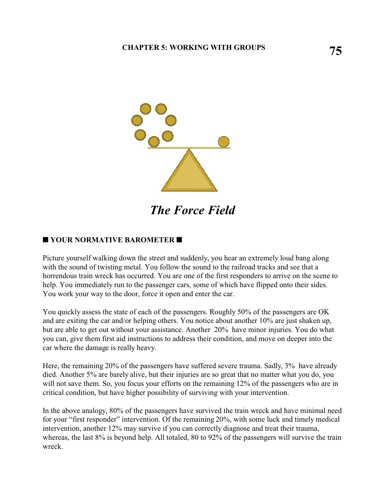

*The Force Field*

### **YOUR NORMATIVE BAROMETER**

Picture yourself walking down the street and suddenly, you hear an extremely loud bang along with the sound of twisting metal. You follow the sound to the railroad tracks and see that a horrendous train wreck has occurred. You are one of the first responders to arrive on the scene to help. You immediately run to the passenger cars, some of which have flipped onto their sides. You work your way to the door, force it open and enter the car.

You quickly assess the state of each of the passengers. Roughly 50% of the passengers are OK and are exiting the car and/or helping others. You notice about another 10% are just shaken up, but are able to get out without your assistance. Another 20% have minor injuries. You do what you can, give them first aid instructions to address their condition, and move on deeper into the car where the damage is really heavy.

Here, the remaining 20% of the passengers have suffered severe trauma. Sadly, 3% have already died. Another 5% are barely alive, but their injuries are so great that no matter what you do, you will not save them. So, you focus your efforts on the remaining 12% of the passengers who are in critical condition, but have higher possibility of surviving with your intervention.

In the above analogy, 80% of the passengers have survived the train wreck and have minimal need for your "first responder" intervention. Of the remaining 20%, with some luck and timely medical intervention, another 12% may survive if you can correctly diagnose and treat their trauma, whereas, the last 8% is beyond help. All totaled, 80 to 92% of the passengers will survive the train wreck.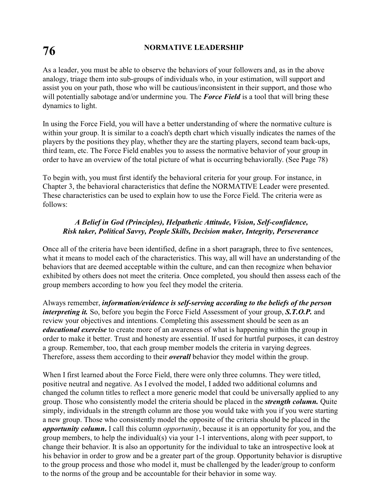# **76 NORMATIVE LEADERSHIP**

As a leader, you must be able to observe the behaviors of your followers and, as in the above analogy, triage them into sub-groups of individuals who, in your estimation, will support and assist you on your path, those who will be cautious/inconsistent in their support, and those who will potentially sabotage and/or undermine you. The *Force Field* is a tool that will bring these dynamics to light.

In using the Force Field, you will have a better understanding of where the normative culture is within your group. It is similar to a coach's depth chart which visually indicates the names of the players by the positions they play, whether they are the starting players, second team back-ups, third team, etc. The Force Field enables you to assess the normative behavior of your group in order to have an overview of the total picture of what is occurring behaviorally. (See Page 78)

To begin with, you must first identify the behavioral criteria for your group. For instance, in Chapter 3, the behavioral characteristics that define the NORMATIVE Leader were presented. These characteristics can be used to explain how to use the Force Field. The criteria were as follows:

### *A Belief in God (Principles), Helpathetic Attitude, Vision, Self-confidence, Risk taker, Political Savvy, People Skills, Decision maker, Integrity, Perseverance*

Once all of the criteria have been identified, define in a short paragraph, three to five sentences, what it means to model each of the characteristics. This way, all will have an understanding of the behaviors that are deemed acceptable within the culture, and can then recognize when behavior exhibited by others does not meet the criteria. Once completed, you should then assess each of the group members according to how you feel they model the criteria.

Always remember, *information/evidence is self-serving according to the beliefs of the person interpreting it.* So, before you begin the Force Field Assessment of your group, **S.T.O.P.** and review your objectives and intentions. Completing this assessment should be seen as an *educational exercise* to create more of an awareness of what is happening within the group in order to make it better. Trust and honesty are essential. If used for hurtful purposes, it can destroy a group. Remember, too, that each group member models the criteria in varying degrees. Therefore, assess them according to their *overall* behavior they model within the group.

When I first learned about the Force Field, there were only three columns. They were titled, positive neutral and negative. As I evolved the model, I added two additional columns and changed the column titles to reflect a more generic model that could be universally applied to any group. Those who consistently model the criteria should be placed in the *strength column.* Quite simply, individuals in the strength column are those you would take with you if you were starting a new group. Those who consistently model the opposite of the criteria should be placed in the *opportunity column***.** I call this column *opportunity*, because it is an opportunity for you, and the group members, to help the individual(s) via your 1-1 interventions, along with peer support, to change their behavior. It is also an opportunity for the individual to take an introspective look at his behavior in order to grow and be a greater part of the group. Opportunity behavior is disruptive to the group process and those who model it, must be challenged by the leader/group to conform to the norms of the group and be accountable for their behavior in some way.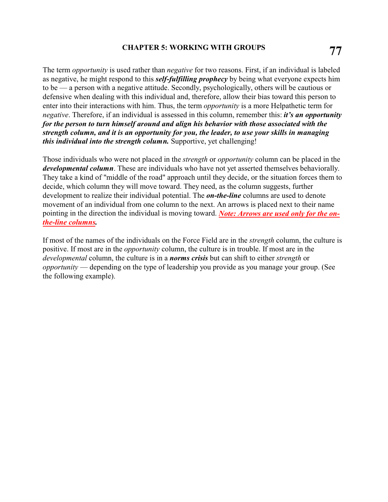## **77 CHAPTER 5: WORKING WITH GROUPS**

The term *opportunity* is used rather than *negative* for two reasons. First, if an individual is labeled as negative, he might respond to this *self-fulfilling prophecy* by being what everyone expects him to be — a person with a negative attitude. Secondly, psychologically, others will be cautious or defensive when dealing with this individual and, therefore, allow their bias toward this person to enter into their interactions with him. Thus, the term *opportunity* is a more Helpathetic term for *negative*. Therefore, if an individual is assessed in this column, remember this: *it's an opportunity for the person to turn himself around and align his behavior with those associated with the strength column, and it is an opportunity for you, the leader, to use your skills in managing this individual into the strength column.* Supportive, yet challenging!

Those individuals who were not placed in the *strength* or *opportunity* column can be placed in the *developmental column*. These are individuals who have not yet asserted themselves behaviorally. They take a kind of "middle of the road" approach until they decide, or the situation forces them to decide, which column they will move toward. They need, as the column suggests, further development to realize their individual potential. The *on-the-line* columns are used to denote movement of an individual from one column to the next. An arrows is placed next to their name pointing in the direction the individual is moving toward. *Note: Arrows are used only for the onthe-line columns.* 

If most of the names of the individuals on the Force Field are in the *strength* column, the culture is positive. If most are in the *opportunity* column, the culture is in trouble. If most are in the *developmental* column, the culture is in a *norms crisis* but can shift to either *strength* or *opportunity* — depending on the type of leadership you provide as you manage your group. (See the following example).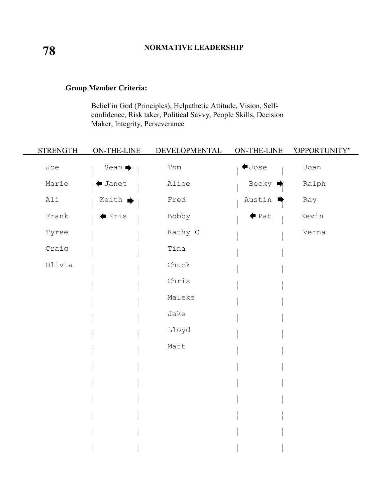### **Group Member Criteria:**

Belief in God (Principles), Helpathetic Attitude, Vision, Selfconfidence, Risk taker, Political Savvy, People Skills, Decision Maker, Integrity, Perseverance

| <b>STRENGTH</b> | ON-THE-LINE                | DEVELOPMENTAL | ON-THE-LINE          | "OPPORTUNITY" |
|-----------------|----------------------------|---------------|----------------------|---------------|
| Joe             | Sean $\blacktriangleright$ | Tom           | $\blacklozenge$ Jose | Joan          |
| Marie           | Janet                      | Alice         | Becky                | Ralph         |
| Ali             | Keith ■                    | Fred          | Austin               | Ray           |
| Frank           | $\bullet$ Kris             | Bobby         | $\blacklozenge$ Pat  | Kevin         |
| Tyree           |                            | Kathy C       |                      | Verna         |
| Craig           |                            | Tina          |                      |               |
| Olivia          |                            | Chuck         |                      |               |
|                 |                            | Chris         |                      |               |
|                 |                            | Maleke        |                      |               |
|                 |                            | Jake          |                      |               |
|                 |                            | Lloyd         |                      |               |
|                 |                            | Matt          |                      |               |
|                 |                            |               |                      |               |
|                 |                            |               |                      |               |
|                 |                            |               |                      |               |
|                 |                            |               |                      |               |
|                 |                            |               |                      |               |
|                 |                            |               |                      |               |
|                 |                            |               |                      |               |